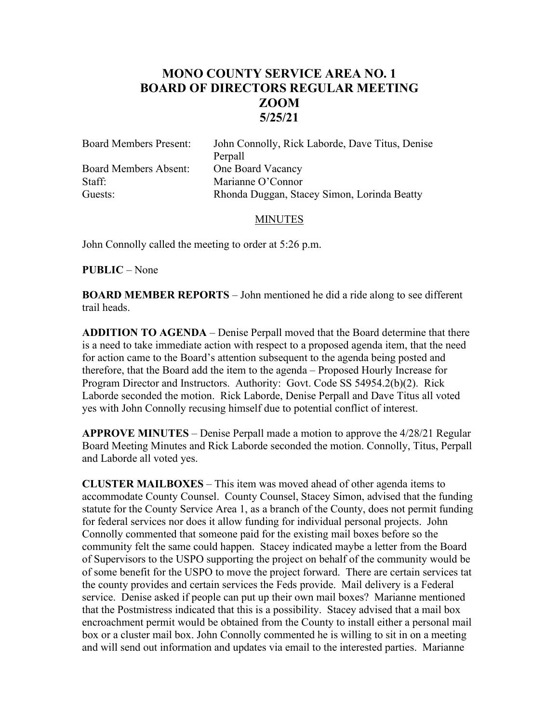# **MONO COUNTY SERVICE AREA NO. 1 BOARD OF DIRECTORS REGULAR MEETING ZOOM 5/25/21**

| <b>Board Members Present:</b> | John Connolly, Rick Laborde, Dave Titus, Denise |
|-------------------------------|-------------------------------------------------|
|                               | Perpall                                         |
| <b>Board Members Absent:</b>  | One Board Vacancy                               |
| Staff:                        | Marianne O'Connor                               |
| Guests:                       | Rhonda Duggan, Stacey Simon, Lorinda Beatty     |

### MINUTES

John Connolly called the meeting to order at 5:26 p.m.

#### **PUBLIC** – None

**BOARD MEMBER REPORTS** – John mentioned he did a ride along to see different trail heads.

**ADDITION TO AGENDA** – Denise Perpall moved that the Board determine that there is a need to take immediate action with respect to a proposed agenda item, that the need for action came to the Board's attention subsequent to the agenda being posted and therefore, that the Board add the item to the agenda – Proposed Hourly Increase for Program Director and Instructors. Authority: Govt. Code SS 54954.2(b)(2). Rick Laborde seconded the motion. Rick Laborde, Denise Perpall and Dave Titus all voted yes with John Connolly recusing himself due to potential conflict of interest.

**APPROVE MINUTES** – Denise Perpall made a motion to approve the 4/28/21 Regular Board Meeting Minutes and Rick Laborde seconded the motion. Connolly, Titus, Perpall and Laborde all voted yes.

**CLUSTER MAILBOXES** – This item was moved ahead of other agenda items to accommodate County Counsel. County Counsel, Stacey Simon, advised that the funding statute for the County Service Area 1, as a branch of the County, does not permit funding for federal services nor does it allow funding for individual personal projects. John Connolly commented that someone paid for the existing mail boxes before so the community felt the same could happen. Stacey indicated maybe a letter from the Board of Supervisors to the USPO supporting the project on behalf of the community would be of some benefit for the USPO to move the project forward. There are certain services tat the county provides and certain services the Feds provide. Mail delivery is a Federal service. Denise asked if people can put up their own mail boxes? Marianne mentioned that the Postmistress indicated that this is a possibility. Stacey advised that a mail box encroachment permit would be obtained from the County to install either a personal mail box or a cluster mail box. John Connolly commented he is willing to sit in on a meeting and will send out information and updates via email to the interested parties. Marianne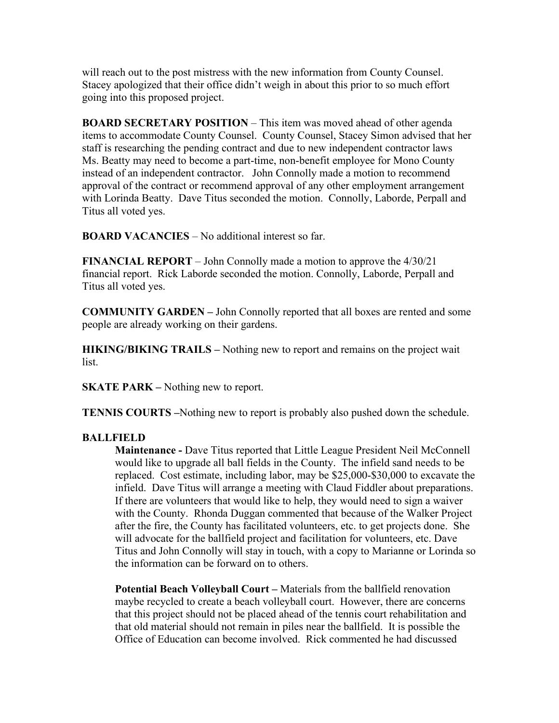will reach out to the post mistress with the new information from County Counsel. Stacey apologized that their office didn't weigh in about this prior to so much effort going into this proposed project.

**BOARD SECRETARY POSITION** – This item was moved ahead of other agenda items to accommodate County Counsel. County Counsel, Stacey Simon advised that her staff is researching the pending contract and due to new independent contractor laws Ms. Beatty may need to become a part-time, non-benefit employee for Mono County instead of an independent contractor. John Connolly made a motion to recommend approval of the contract or recommend approval of any other employment arrangement with Lorinda Beatty. Dave Titus seconded the motion. Connolly, Laborde, Perpall and Titus all voted yes.

**BOARD VACANCIES** – No additional interest so far.

**FINANCIAL REPORT** – John Connolly made a motion to approve the 4/30/21 financial report. Rick Laborde seconded the motion. Connolly, Laborde, Perpall and Titus all voted yes.

**COMMUNITY GARDEN –** John Connolly reported that all boxes are rented and some people are already working on their gardens.

**HIKING/BIKING TRAILS –** Nothing new to report and remains on the project wait list.

**SKATE PARK –** Nothing new to report.

**TENNIS COURTS –**Nothing new to report is probably also pushed down the schedule.

## **BALLFIELD**

**Maintenance -** Dave Titus reported that Little League President Neil McConnell would like to upgrade all ball fields in the County. The infield sand needs to be replaced. Cost estimate, including labor, may be \$25,000-\$30,000 to excavate the infield. Dave Titus will arrange a meeting with Claud Fiddler about preparations. If there are volunteers that would like to help, they would need to sign a waiver with the County. Rhonda Duggan commented that because of the Walker Project after the fire, the County has facilitated volunteers, etc. to get projects done. She will advocate for the ballfield project and facilitation for volunteers, etc. Dave Titus and John Connolly will stay in touch, with a copy to Marianne or Lorinda so the information can be forward on to others.

**Potential Beach Volleyball Court –** Materials from the ballfield renovation maybe recycled to create a beach volleyball court. However, there are concerns that this project should not be placed ahead of the tennis court rehabilitation and that old material should not remain in piles near the ballfield. It is possible the Office of Education can become involved. Rick commented he had discussed